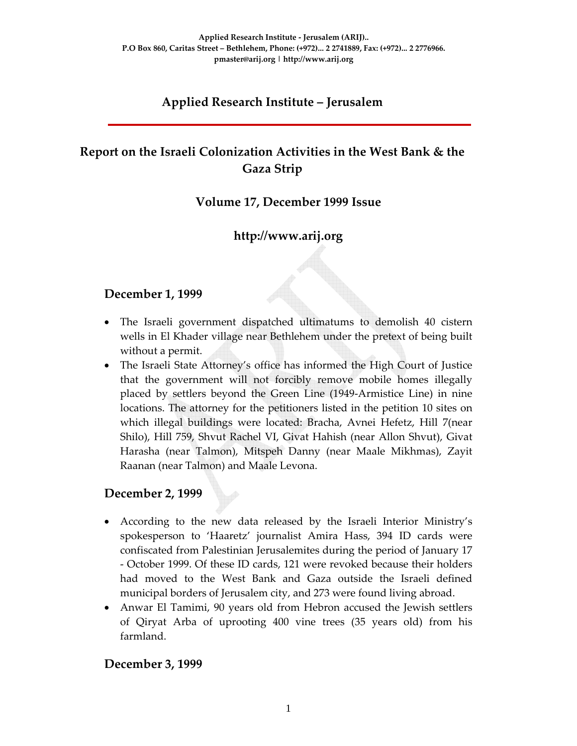## **Applied Research Institute – Jerusalem**

# **Report on the Israeli Colonization Activities in the West Bank & the Gaza Strip**

## **Volume 17, December 1999 Issue**

## **http://www.arij.org**

### **December 1, 1999**

- The Israeli government dispatched ultimatums to demolish 40 cistern wells in El Khader village near Bethlehem under the pretext of being built without a permit.
- The Israeli State Attorney's office has informed the High Court of Justice that the government will not forcibly remove mobile homes illegally placed by settlers beyond the Green Line (1949‐Armistice Line) in nine locations. The attorney for the petitioners listed in the petition 10 sites on which illegal buildings were located: Bracha, Avnei Hefetz, Hill 7(near Shilo), Hill 759, Shvut Rachel VI, Givat Hahish (near Allon Shvut), Givat Harasha (near Talmon), Mitspeh Danny (near Maale Mikhmas), Zayit Raanan (near Talmon) and Maale Levona.

#### **December 2, 1999**

- According to the new data released by the Israeli Interior Ministry's spokesperson to 'Haaretz' journalist Amira Hass, 394 ID cards were confiscated from Palestinian Jerusalemites during the period of January 17 ‐ October 1999. Of these ID cards, 121 were revoked because their holders had moved to the West Bank and Gaza outside the Israeli defined municipal borders of Jerusalem city, and 273 were found living abroad.
- Anwar El Tamimi, 90 years old from Hebron accused the Jewish settlers of Qiryat Arba of uprooting 400 vine trees (35 years old) from his farmland.

#### **December 3, 1999**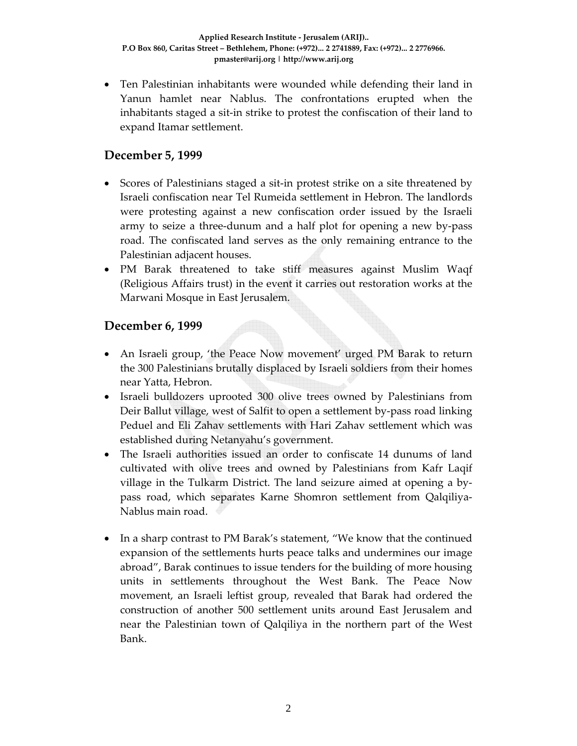• Ten Palestinian inhabitants were wounded while defending their land in Yanun hamlet near Nablus. The confrontations erupted when the inhabitants staged a sit‐in strike to protest the confiscation of their land to expand Itamar settlement.

## **December 5, 1999**

- Scores of Palestinians staged a sit-in protest strike on a site threatened by Israeli confiscation near Tel Rumeida settlement in Hebron. The landlords were protesting against a new confiscation order issued by the Israeli army to seize a three‐dunum and a half plot for opening a new by‐pass road. The confiscated land serves as the only remaining entrance to the Palestinian adjacent houses.
- PM Barak threatened to take stiff measures against Muslim Waqf (Religious Affairs trust) in the event it carries out restoration works at the Marwani Mosque in East Jerusalem.

## **December 6, 1999**

- An Israeli group, 'the Peace Now movement' urged PM Barak to return the 300 Palestinians brutally displaced by Israeli soldiers from their homes near Yatta, Hebron.
- Israeli bulldozers uprooted 300 olive trees owned by Palestinians from Deir Ballut village, west of Salfit to open a settlement by-pass road linking Peduel and Eli Zahav settlements with Hari Zahav settlement which was established during Netanyahu's government.
- The Israeli authorities issued an order to confiscate 14 dunums of land cultivated with olive trees and owned by Palestinians from Kafr Laqif village in the Tulkarm District. The land seizure aimed at opening a by‐ pass road, which separates Karne Shomron settlement from Qalqiliya‐ Nablus main road.
- In a sharp contrast to PM Barak's statement, "We know that the continued expansion of the settlements hurts peace talks and undermines our image abroad", Barak continues to issue tenders for the building of more housing units in settlements throughout the West Bank. The Peace Now movement, an Israeli leftist group, revealed that Barak had ordered the construction of another 500 settlement units around East Jerusalem and near the Palestinian town of Qalqiliya in the northern part of the West Bank.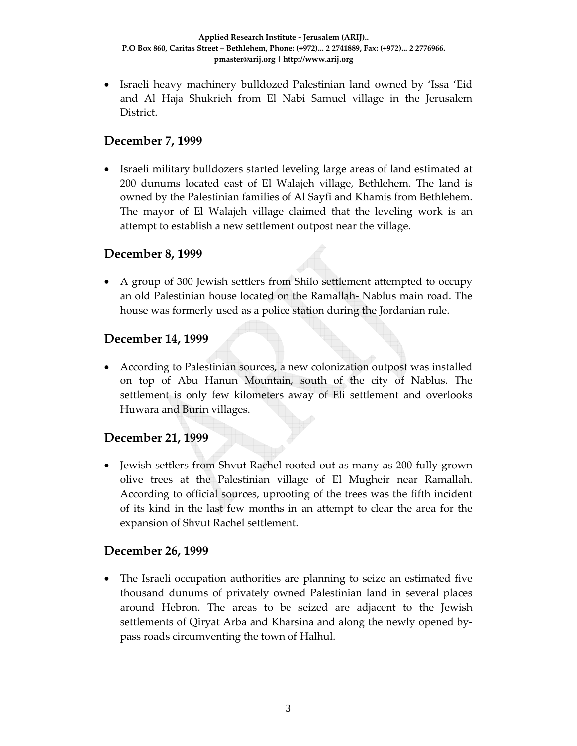• Israeli heavy machinery bulldozed Palestinian land owned by 'Issa 'Eid and Al Haja Shukrieh from El Nabi Samuel village in the Jerusalem District.

### **December 7, 1999**

• Israeli military bulldozers started leveling large areas of land estimated at 200 dunums located east of El Walajeh village, Bethlehem. The land is owned by the Palestinian families of Al Sayfi and Khamis from Bethlehem. The mayor of El Walajeh village claimed that the leveling work is an attempt to establish a new settlement outpost near the village.

#### **December 8, 1999**

• A group of 300 Jewish settlers from Shilo settlement attempted to occupy an old Palestinian house located on the Ramallah‐ Nablus main road. The house was formerly used as a police station during the Jordanian rule.

### **December 14, 1999**

• According to Palestinian sources, a new colonization outpost was installed on top of Abu Hanun Mountain, south of the city of Nablus. The settlement is only few kilometers away of Eli settlement and overlooks Huwara and Burin villages.

## **December 21, 1999**

• Jewish settlers from Shvut Rachel rooted out as many as 200 fully‐grown olive trees at the Palestinian village of El Mugheir near Ramallah. According to official sources, uprooting of the trees was the fifth incident of its kind in the last few months in an attempt to clear the area for the expansion of Shvut Rachel settlement.

#### **December 26, 1999**

• The Israeli occupation authorities are planning to seize an estimated five thousand dunums of privately owned Palestinian land in several places around Hebron. The areas to be seized are adjacent to the Jewish settlements of Qiryat Arba and Kharsina and along the newly opened by‐ pass roads circumventing the town of Halhul.